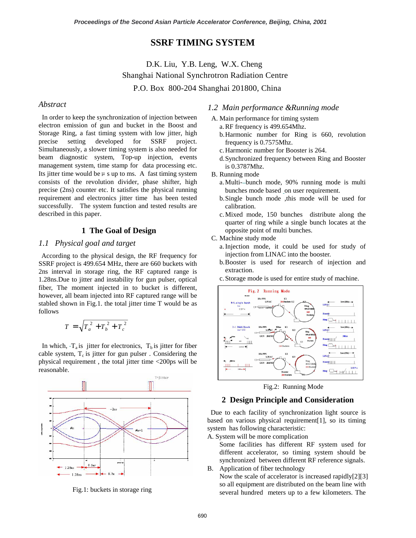# **SSRF TIMING SYSTEM**

D.K. Liu, Y.B. Leng, W.X. Cheng Shanghai National Synchrotron Radiation Centre P.O. Box 800-204 Shanghai 201800, China

# *Abstract*

 In order to keep the synchronization of injection between electron emission of gun and bucket in the Boost and Storage Ring, a fast timing system with low jitter, high precise setting developed for SSRF project. Simultaneously, a slower timing system is also needed for beam diagnostic system, Top-up injection, events management system, time stamp for data processing etc. Its jitter time would be  $\mu$  s up to ms. A fast timing system consists of the revolution divider, phase shifter, high precise (2ns) counter etc. It satisfies the physical running requirement and electronics jitter time has been tested successfully. The system function and tested results are described in this paper.

## **1 The Goal of Design**

# *1.1 Physical goal and target*

 According to the physical design, the RF frequency for SSRF project is 499.654 MHz, there are 660 buckets with 2ns interval in storage ring, the RF captured range is 1.28ns.Due to jitter and instability for gun pulser, optical fiber, The moment injected in to bucket is different, however, all beam injected into RF captured range will be stabled shown in Fig.1. the total jitter time T would be as follows

$$
T = \sqrt{T_a^2 + T_b^2 + T_c^2}
$$

In which,  $-T_a$  is jitter for electronics,  $T_b$  is jitter for fiber cable system,  $T_c$  is jitter for gun pulser . Considering the physical requirement , the total jitter time <200ps will be reasonable.



Fig.1: buckets in storage ring

# *1.2 Main performance &Running mode*

- A. Main performance for timing system
	- a. RF frequency is 499.654Mhz.
	- b. Harmonic number for Ring is 660, revolution frequency is 0.7575Mhz.
	- c. Harmonic number for Booster is 264.
	- d. Synchronized frequency between Ring and Booster is 0.3787Mhz.
- B. Running mode
	- a. Multi--bunch mode, 90% running mode is multi bunches mode based on user requirement.
	- b.Single bunch mode ,this mode will be used for calibration.
	- c. Mixed mode, 150 bunches distribute along the quarter of ring while a single bunch locates at the opposite point of multi bunches.
- C. Machine study mode
	- a. Injection mode, it could be used for study of injection from LINAC into the booster.
	- b. Booster is used for research of injection and extraction.
	- c. Storage mode is used for entire study of machine.



Fig.2: Running Mode

### **2 Design Principle and Consideration**

 Due to each facility of synchronization light source is based on various physical requirement[1], so its timing system has following characteristic:

A. System will be more complication

Some facilities has different RF system used for different accelerator, so timing system should be synchronized between different RF reference signals.

B. Application of fiber technology

Now the scale of accelerator is increased rapidly[2][3] so all equipment are distributed on the beam line with several hundred meters up to a few kilometers. The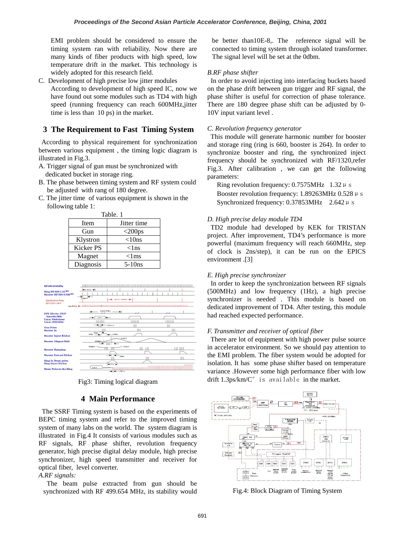EMI problem should be considered to ensure the timing system ran with reliability. Now there are many kinds of fiber products with high speed, low temperature drift in the market. This technology is widely adopted for this research field.

C. Development of high precise low jitter modules According to development of high speed IC, now we have found out some modules such as TD4 with high speed (running frequency can reach 600MHz,jitter time is less than 10 ps) in the market.

# **3 The Requirement to Fast Timing System**

 According to physical requirement for synchronization between various equipment , the timing logic diagram is illustrated in Fig.3.

- A. Trigger signal of gun must be synchronized with dedicated bucket in storage ring.
- B. The phase between timing system and RF system could be adjusted with rang of 180 degree.
- C. The jitter time of various equipment is shown in the following table 1:

Table. 1

| $\cdots$  |                     |  |  |
|-----------|---------------------|--|--|
| Item      | Jitter time         |  |  |
| Gun       | $<$ 200 $\text{ps}$ |  |  |
| Klystron  | $<$ 10ns            |  |  |
| Kicker PS | $<$ lns             |  |  |
| Magnet    | $<$ lms             |  |  |
| Diagnosis | $5-10$ ns           |  |  |



Fig3: Timing logical diagram

### **4 Main Performance**

 The SSRF Timing system is based on the experiments of BEPC timing system and refer to the improved timing system of many labs on the world. The system diagram is illustrated in Fig.4 It consists of various modules such as RF signals, RF phase shifter, revolution frequency generator, high precise digital delay module, high precise synchronizer, high speed transmitter and receiver for optical fiber, level converter.

#### *A.RF signals:*

 The beam pulse extracted from gun should be synchronized with RF 499.654 MHz, its stability would be better than10E-8,. The reference signal will be connected to timing system through isolated transformer. The signal level will be set at the 0dbm.

#### *B.RF phase shifter*

 In order to avoid injecting into interfacing buckets based on the phase drift between gun trigger and RF signal, the phase shifter is useful for correction of phase tolerance. There are 180 degree phase shift can be adjusted by 0- 10V input variant level .

#### *C. Revolution frequency generator*

 This module will generate harmonic number for booster and storage ring (ring is 660, booster is 264). In order to synchronize booster and ring, the synchronized inject frequency should be synchronized with RF/1320,refer Fig.3. After calibration , we can get the following parameters:

Ring revolution frequency:  $0.7575$ MHz  $1.32 \mu$  s Booster revolution frequency: 1.89263MHz 0.528  $\mu$  s Synchronized frequency:  $0.37853$ MHz  $2.642 \mu$  s

#### *D. High precise delay module TD4*

 TD2 module had developed by KEK for TRISTAN project. After improvement, TD4's performance is more powerful (maximum frequency will reach 660MHz, step of clock is 2ns/step), it can be run on the EPICS environment .[3]

### *E. High precise synchronizer*

 In order to keep the synchronization between RF signals (500MHz) and low frequency (1Hz), a high precise synchronizer is needed . This module is based on dedicated improvement of TD4. After testing, this module had reached expected performance.

#### *F. Transmitter and receiver of optical fiber*

 There are lot of equipment with high power pulse source in accelerator environment. So we should pay attention to the EMI problem. The fiber system would be adopted for isolation. It has some phase shifter based on temperature variance .However some high performance fiber with low drift  $1.3$ ps/km/ $C^{\circ}$  is available in the market.



Fig.4: Block Diagram of Timing System